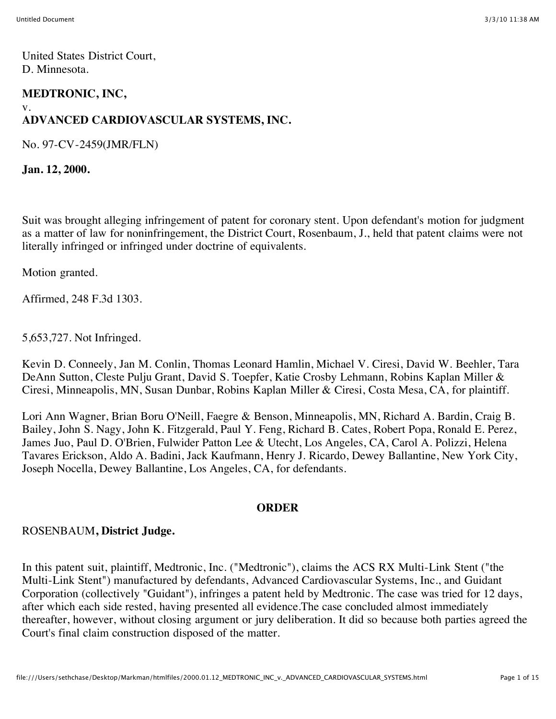United States District Court, D. Minnesota.

## **MEDTRONIC, INC,**

#### v.

# **ADVANCED CARDIOVASCULAR SYSTEMS, INC.**

No. 97-CV-2459(JMR/FLN)

**Jan. 12, 2000.**

Suit was brought alleging infringement of patent for coronary stent. Upon defendant's motion for judgment as a matter of law for noninfringement, the District Court, Rosenbaum, J., held that patent claims were not literally infringed or infringed under doctrine of equivalents.

Motion granted.

Affirmed, 248 F.3d 1303.

5,653,727. Not Infringed.

Kevin D. Conneely, Jan M. Conlin, Thomas Leonard Hamlin, Michael V. Ciresi, David W. Beehler, Tara DeAnn Sutton, Cleste Pulju Grant, David S. Toepfer, Katie Crosby Lehmann, Robins Kaplan Miller & Ciresi, Minneapolis, MN, Susan Dunbar, Robins Kaplan Miller & Ciresi, Costa Mesa, CA, for plaintiff.

Lori Ann Wagner, Brian Boru O'Neill, Faegre & Benson, Minneapolis, MN, Richard A. Bardin, Craig B. Bailey, John S. Nagy, John K. Fitzgerald, Paul Y. Feng, Richard B. Cates, Robert Popa, Ronald E. Perez, James Juo, Paul D. O'Brien, Fulwider Patton Lee & Utecht, Los Angeles, CA, Carol A. Polizzi, Helena Tavares Erickson, Aldo A. Badini, Jack Kaufmann, Henry J. Ricardo, Dewey Ballantine, New York City, Joseph Nocella, Dewey Ballantine, Los Angeles, CA, for defendants.

#### **ORDER**

## ROSENBAUM**, District Judge.**

In this patent suit, plaintiff, Medtronic, Inc. ("Medtronic"), claims the ACS RX Multi-Link Stent ("the Multi-Link Stent") manufactured by defendants, Advanced Cardiovascular Systems, Inc., and Guidant Corporation (collectively "Guidant"), infringes a patent held by Medtronic. The case was tried for 12 days, after which each side rested, having presented all evidence.The case concluded almost immediately thereafter, however, without closing argument or jury deliberation. It did so because both parties agreed the Court's final claim construction disposed of the matter.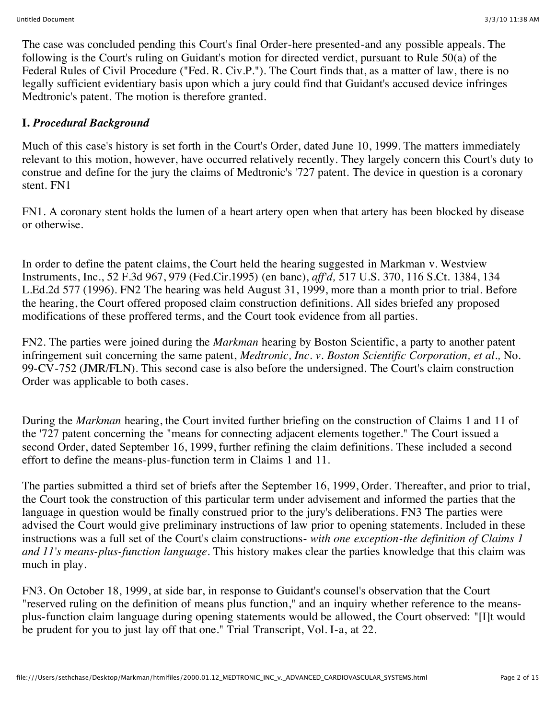The case was concluded pending this Court's final Order-here presented-and any possible appeals. The following is the Court's ruling on Guidant's motion for directed verdict, pursuant to Rule 50(a) of the Federal Rules of Civil Procedure ("Fed. R. Civ.P."). The Court finds that, as a matter of law, there is no legally sufficient evidentiary basis upon which a jury could find that Guidant's accused device infringes Medtronic's patent. The motion is therefore granted.

## **I.** *Procedural Background*

Much of this case's history is set forth in the Court's Order, dated June 10, 1999. The matters immediately relevant to this motion, however, have occurred relatively recently. They largely concern this Court's duty to construe and define for the jury the claims of Medtronic's '727 patent. The device in question is a coronary stent. FN1

FN1. A coronary stent holds the lumen of a heart artery open when that artery has been blocked by disease or otherwise.

In order to define the patent claims, the Court held the hearing suggested in Markman v. Westview Instruments, Inc., 52 F.3d 967, 979 (Fed.Cir.1995) (en banc), *aff'd,* 517 U.S. 370, 116 S.Ct. 1384, 134 L.Ed.2d 577 (1996). FN2 The hearing was held August 31, 1999, more than a month prior to trial. Before the hearing, the Court offered proposed claim construction definitions. All sides briefed any proposed modifications of these proffered terms, and the Court took evidence from all parties.

FN2. The parties were joined during the *Markman* hearing by Boston Scientific, a party to another patent infringement suit concerning the same patent, *Medtronic, Inc. v. Boston Scientific Corporation, et al.,* No. 99-CV-752 (JMR/FLN). This second case is also before the undersigned. The Court's claim construction Order was applicable to both cases.

During the *Markman* hearing, the Court invited further briefing on the construction of Claims 1 and 11 of the '727 patent concerning the "means for connecting adjacent elements together." The Court issued a second Order, dated September 16, 1999, further refining the claim definitions. These included a second effort to define the means-plus-function term in Claims 1 and 11.

The parties submitted a third set of briefs after the September 16, 1999, Order. Thereafter, and prior to trial, the Court took the construction of this particular term under advisement and informed the parties that the language in question would be finally construed prior to the jury's deliberations. FN3 The parties were advised the Court would give preliminary instructions of law prior to opening statements. Included in these instructions was a full set of the Court's claim constructions- *with one exception-the definition of Claims 1 and 11's means-plus-function language.* This history makes clear the parties knowledge that this claim was much in play.

FN3. On October 18, 1999, at side bar, in response to Guidant's counsel's observation that the Court "reserved ruling on the definition of means plus function," and an inquiry whether reference to the meansplus-function claim language during opening statements would be allowed, the Court observed: "[I]t would be prudent for you to just lay off that one." Trial Transcript, Vol. I-a, at 22.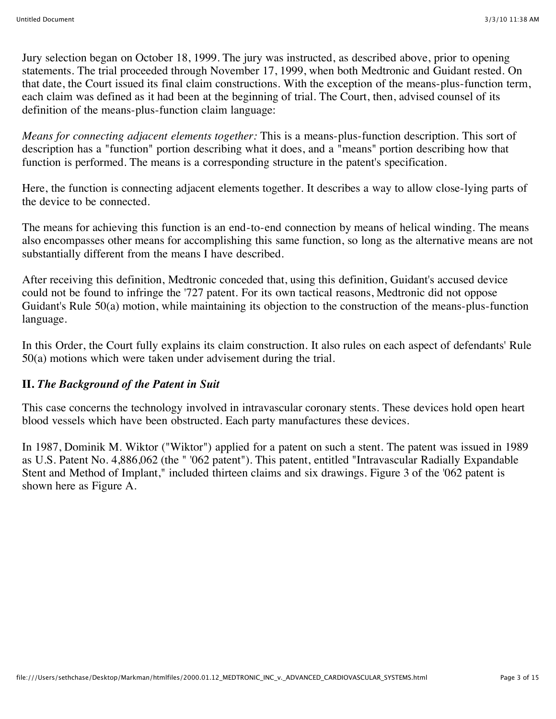Jury selection began on October 18, 1999. The jury was instructed, as described above, prior to opening statements. The trial proceeded through November 17, 1999, when both Medtronic and Guidant rested. On that date, the Court issued its final claim constructions. With the exception of the means-plus-function term, each claim was defined as it had been at the beginning of trial. The Court, then, advised counsel of its definition of the means-plus-function claim language:

*Means for connecting adjacent elements together:* This is a means-plus-function description. This sort of description has a "function" portion describing what it does, and a "means" portion describing how that function is performed. The means is a corresponding structure in the patent's specification.

Here, the function is connecting adjacent elements together. It describes a way to allow close-lying parts of the device to be connected.

The means for achieving this function is an end-to-end connection by means of helical winding. The means also encompasses other means for accomplishing this same function, so long as the alternative means are not substantially different from the means I have described.

After receiving this definition, Medtronic conceded that, using this definition, Guidant's accused device could not be found to infringe the '727 patent. For its own tactical reasons, Medtronic did not oppose Guidant's Rule 50(a) motion, while maintaining its objection to the construction of the means-plus-function language.

In this Order, the Court fully explains its claim construction. It also rules on each aspect of defendants' Rule 50(a) motions which were taken under advisement during the trial.

## **II.** *The Background of the Patent in Suit*

This case concerns the technology involved in intravascular coronary stents. These devices hold open heart blood vessels which have been obstructed. Each party manufactures these devices.

In 1987, Dominik M. Wiktor ("Wiktor") applied for a patent on such a stent. The patent was issued in 1989 as U.S. Patent No. 4,886,062 (the " '062 patent"). This patent, entitled "Intravascular Radially Expandable Stent and Method of Implant," included thirteen claims and six drawings. Figure 3 of the '062 patent is shown here as Figure A.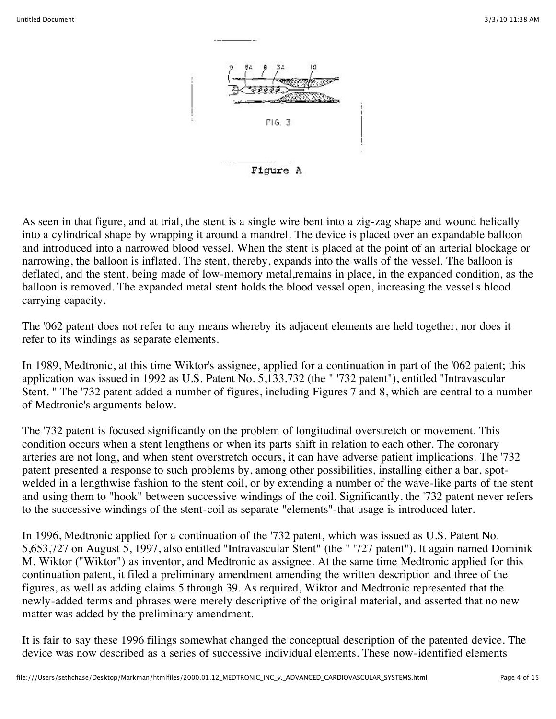

As seen in that figure, and at trial, the stent is a single wire bent into a zig-zag shape and wound helically into a cylindrical shape by wrapping it around a mandrel. The device is placed over an expandable balloon and introduced into a narrowed blood vessel. When the stent is placed at the point of an arterial blockage or narrowing, the balloon is inflated. The stent, thereby, expands into the walls of the vessel. The balloon is deflated, and the stent, being made of low-memory metal,remains in place, in the expanded condition, as the balloon is removed. The expanded metal stent holds the blood vessel open, increasing the vessel's blood carrying capacity.

The '062 patent does not refer to any means whereby its adjacent elements are held together, nor does it refer to its windings as separate elements.

In 1989, Medtronic, at this time Wiktor's assignee, applied for a continuation in part of the '062 patent; this application was issued in 1992 as U.S. Patent No. 5,133,732 (the " '732 patent"), entitled "Intravascular Stent. " The '732 patent added a number of figures, including Figures 7 and 8, which are central to a number of Medtronic's arguments below.

The '732 patent is focused significantly on the problem of longitudinal overstretch or movement. This condition occurs when a stent lengthens or when its parts shift in relation to each other. The coronary arteries are not long, and when stent overstretch occurs, it can have adverse patient implications. The '732 patent presented a response to such problems by, among other possibilities, installing either a bar, spotwelded in a lengthwise fashion to the stent coil, or by extending a number of the wave-like parts of the stent and using them to "hook" between successive windings of the coil. Significantly, the '732 patent never refers to the successive windings of the stent-coil as separate "elements"-that usage is introduced later.

In 1996, Medtronic applied for a continuation of the '732 patent, which was issued as U.S. Patent No. 5,653,727 on August 5, 1997, also entitled "Intravascular Stent" (the " '727 patent"). It again named Dominik M. Wiktor ("Wiktor") as inventor, and Medtronic as assignee. At the same time Medtronic applied for this continuation patent, it filed a preliminary amendment amending the written description and three of the figures, as well as adding claims 5 through 39. As required, Wiktor and Medtronic represented that the newly-added terms and phrases were merely descriptive of the original material, and asserted that no new matter was added by the preliminary amendment.

It is fair to say these 1996 filings somewhat changed the conceptual description of the patented device. The device was now described as a series of successive individual elements. These now-identified elements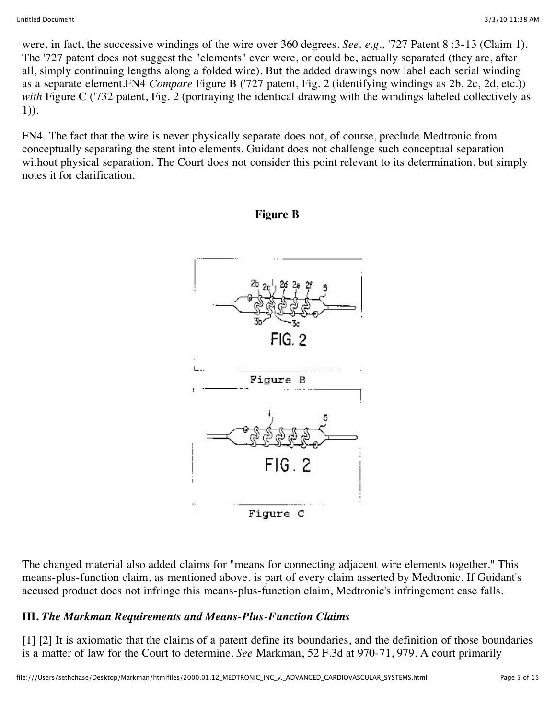were, in fact, the successive windings of the wire over 360 degrees. *See, e.g.,* '727 Patent 8 :3-13 (Claim 1). The '727 patent does not suggest the "elements" ever were, or could be, actually separated (they are, after all, simply continuing lengths along a folded wire). But the added drawings now label each serial winding as a separate element.FN4 *Compare* Figure B ('727 patent, Fig. 2 (identifying windings as 2b, 2c, 2d, etc.)) *with* Figure C ('732 patent, Fig. 2 (portraying the identical drawing with the windings labeled collectively as 1)).

FN4. The fact that the wire is never physically separate does not, of course, preclude Medtronic from conceptually separating the stent into elements. Guidant does not challenge such conceptual separation without physical separation. The Court does not consider this point relevant to its determination, but simply notes it for clarification.

**Figure B**



The changed material also added claims for "means for connecting adjacent wire elements together." This means-plus-function claim, as mentioned above, is part of every claim asserted by Medtronic. If Guidant's accused product does not infringe this means-plus-function claim, Medtronic's infringement case falls.

## **III.** *The Markman Requirements and Means-Plus-Function Claims*

[1] [2] It is axiomatic that the claims of a patent define its boundaries, and the definition of those boundaries is a matter of law for the Court to determine. *See* Markman, 52 F.3d at 970-71, 979. A court primarily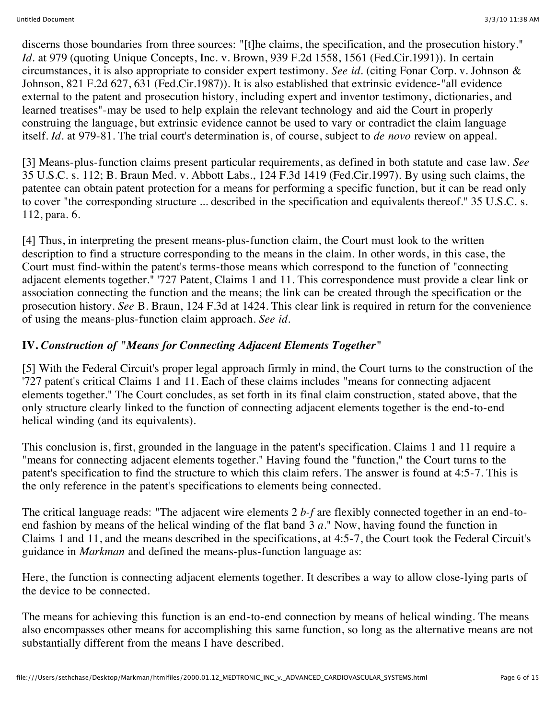discerns those boundaries from three sources: "[t]he claims, the specification, and the prosecution history." *Id.* at 979 (quoting Unique Concepts, Inc. v. Brown, 939 F.2d 1558, 1561 (Fed.Cir.1991)). In certain circumstances, it is also appropriate to consider expert testimony. *See id.* (citing Fonar Corp. v. Johnson & Johnson, 821 F.2d 627, 631 (Fed.Cir.1987)). It is also established that extrinsic evidence-"all evidence external to the patent and prosecution history, including expert and inventor testimony, dictionaries, and learned treatises"-may be used to help explain the relevant technology and aid the Court in properly construing the language, but extrinsic evidence cannot be used to vary or contradict the claim language itself. *Id.* at 979-81. The trial court's determination is, of course, subject to *de novo* review on appeal.

[3] Means-plus-function claims present particular requirements, as defined in both statute and case law. *See* 35 U.S.C. s. 112; B. Braun Med. v. Abbott Labs., 124 F.3d 1419 (Fed.Cir.1997). By using such claims, the patentee can obtain patent protection for a means for performing a specific function, but it can be read only to cover "the corresponding structure ... described in the specification and equivalents thereof." 35 U.S.C. s. 112, para. 6.

[4] Thus, in interpreting the present means-plus-function claim, the Court must look to the written description to find a structure corresponding to the means in the claim. In other words, in this case, the Court must find-within the patent's terms-those means which correspond to the function of "connecting adjacent elements together." '727 Patent, Claims 1 and 11. This correspondence must provide a clear link or association connecting the function and the means; the link can be created through the specification or the prosecution history. *See* B. Braun, 124 F.3d at 1424. This clear link is required in return for the convenience of using the means-plus-function claim approach. *See id.*

## **IV.** *Construction of "Means for Connecting Adjacent Elements Together"*

[5] With the Federal Circuit's proper legal approach firmly in mind, the Court turns to the construction of the '727 patent's critical Claims 1 and 11. Each of these claims includes "means for connecting adjacent elements together." The Court concludes, as set forth in its final claim construction, stated above, that the only structure clearly linked to the function of connecting adjacent elements together is the end-to-end helical winding (and its equivalents).

This conclusion is, first, grounded in the language in the patent's specification. Claims 1 and 11 require a "means for connecting adjacent elements together." Having found the "function," the Court turns to the patent's specification to find the structure to which this claim refers. The answer is found at 4:5-7. This is the only reference in the patent's specifications to elements being connected.

The critical language reads: "The adjacent wire elements 2 *b-f* are flexibly connected together in an end-toend fashion by means of the helical winding of the flat band 3 *a.*" Now, having found the function in Claims 1 and 11, and the means described in the specifications, at 4:5-7, the Court took the Federal Circuit's guidance in *Markman* and defined the means-plus-function language as:

Here, the function is connecting adjacent elements together. It describes a way to allow close-lying parts of the device to be connected.

The means for achieving this function is an end-to-end connection by means of helical winding. The means also encompasses other means for accomplishing this same function, so long as the alternative means are not substantially different from the means I have described.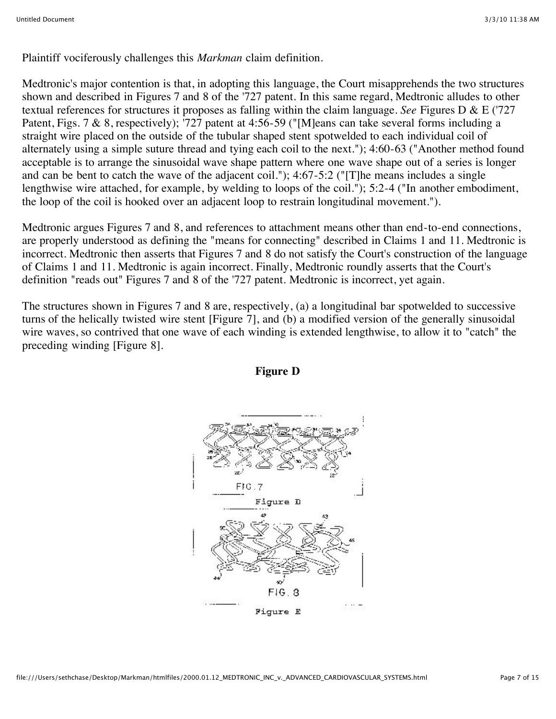Plaintiff vociferously challenges this *Markman* claim definition.

Medtronic's major contention is that, in adopting this language, the Court misapprehends the two structures shown and described in Figures 7 and 8 of the '727 patent. In this same regard, Medtronic alludes to other textual references for structures it proposes as falling within the claim language. *See* Figures D & E ('727 Patent, Figs. 7 & 8, respectively); '727 patent at 4:56-59 ("[M]eans can take several forms including a straight wire placed on the outside of the tubular shaped stent spotwelded to each individual coil of alternately using a simple suture thread and tying each coil to the next."); 4:60-63 ("Another method found acceptable is to arrange the sinusoidal wave shape pattern where one wave shape out of a series is longer and can be bent to catch the wave of the adjacent coil."); 4:67-5:2 ("[T]he means includes a single lengthwise wire attached, for example, by welding to loops of the coil."); 5:2-4 ("In another embodiment, the loop of the coil is hooked over an adjacent loop to restrain longitudinal movement.").

Medtronic argues Figures 7 and 8, and references to attachment means other than end-to-end connections, are properly understood as defining the "means for connecting" described in Claims 1 and 11. Medtronic is incorrect. Medtronic then asserts that Figures 7 and 8 do not satisfy the Court's construction of the language of Claims 1 and 11. Medtronic is again incorrect. Finally, Medtronic roundly asserts that the Court's definition "reads out" Figures 7 and 8 of the '727 patent. Medtronic is incorrect, yet again.

The structures shown in Figures 7 and 8 are, respectively, (a) a longitudinal bar spotwelded to successive turns of the helically twisted wire stent [Figure 7], and (b) a modified version of the generally sinusoidal wire waves, so contrived that one wave of each winding is extended lengthwise, to allow it to "catch" the preceding winding [Figure 8].



## **Figure D**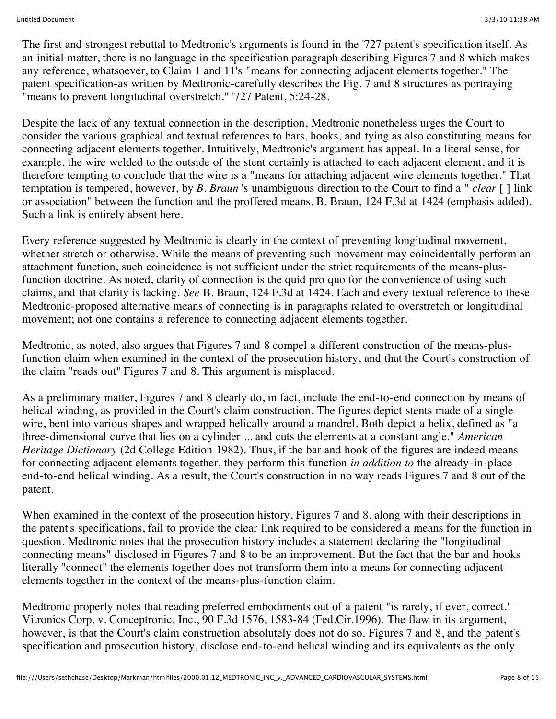The first and strongest rebuttal to Medtronic's arguments is found in the '727 patent's specification itself. As an initial matter, there is no language in the specification paragraph describing Figures 7 and 8 which makes any reference, whatsoever, to Claim 1 and 11's "means for connecting adjacent elements together." The patent specification-as written by Medtronic-carefully describes the Fig. 7 and 8 structures as portraying "means to prevent longitudinal overstretch." '727 Patent, 5:24-28.

Despite the lack of any textual connection in the description, Medtronic nonetheless urges the Court to consider the various graphical and textual references to bars, hooks, and tying as also constituting means for connecting adjacent elements together. Intuitively, Medtronic's argument has appeal. In a literal sense, for example, the wire welded to the outside of the stent certainly is attached to each adjacent element, and it is therefore tempting to conclude that the wire is a "means for attaching adjacent wire elements together." That temptation is tempered, however, by *B. Braun* 's unambiguous direction to the Court to find a " *clear* [ ] link or association" between the function and the proffered means. B. Braun, 124 F.3d at 1424 (emphasis added). Such a link is entirely absent here.

Every reference suggested by Medtronic is clearly in the context of preventing longitudinal movement, whether stretch or otherwise. While the means of preventing such movement may coincidentally perform an attachment function, such coincidence is not sufficient under the strict requirements of the means-plusfunction doctrine. As noted, clarity of connection is the quid pro quo for the convenience of using such claims, and that clarity is lacking. *See* B. Braun, 124 F.3d at 1424. Each and every textual reference to these Medtronic-proposed alternative means of connecting is in paragraphs related to overstretch or longitudinal movement; not one contains a reference to connecting adjacent elements together.

Medtronic, as noted, also argues that Figures 7 and 8 compel a different construction of the means-plusfunction claim when examined in the context of the prosecution history, and that the Court's construction of the claim "reads out" Figures 7 and 8. This argument is misplaced.

As a preliminary matter, Figures 7 and 8 clearly do, in fact, include the end-to-end connection by means of helical winding, as provided in the Court's claim construction. The figures depict stents made of a single wire, bent into various shapes and wrapped helically around a mandrel. Both depict a helix, defined as "a three-dimensional curve that lies on a cylinder ... and cuts the elements at a constant angle." *American Heritage Dictionary* (2d College Edition 1982). Thus, if the bar and hook of the figures are indeed means for connecting adjacent elements together, they perform this function *in addition to* the already-in-place end-to-end helical winding. As a result, the Court's construction in no way reads Figures 7 and 8 out of the patent.

When examined in the context of the prosecution history, Figures 7 and 8, along with their descriptions in the patent's specifications, fail to provide the clear link required to be considered a means for the function in question. Medtronic notes that the prosecution history includes a statement declaring the "longitudinal connecting means" disclosed in Figures 7 and 8 to be an improvement. But the fact that the bar and hooks literally "connect" the elements together does not transform them into a means for connecting adjacent elements together in the context of the means-plus-function claim.

Medtronic properly notes that reading preferred embodiments out of a patent "is rarely, if ever, correct." Vitronics Corp. v. Conceptronic, Inc., 90 F.3d 1576, 1583-84 (Fed.Cir.1996). The flaw in its argument, however, is that the Court's claim construction absolutely does not do so. Figures 7 and 8, and the patent's specification and prosecution history, disclose end-to-end helical winding and its equivalents as the only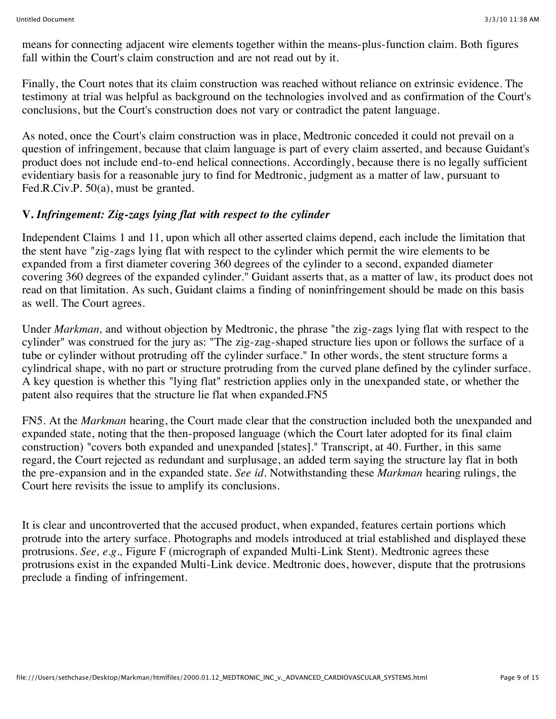means for connecting adjacent wire elements together within the means-plus-function claim. Both figures fall within the Court's claim construction and are not read out by it.

Finally, the Court notes that its claim construction was reached without reliance on extrinsic evidence. The testimony at trial was helpful as background on the technologies involved and as confirmation of the Court's conclusions, but the Court's construction does not vary or contradict the patent language.

As noted, once the Court's claim construction was in place, Medtronic conceded it could not prevail on a question of infringement, because that claim language is part of every claim asserted, and because Guidant's product does not include end-to-end helical connections. Accordingly, because there is no legally sufficient evidentiary basis for a reasonable jury to find for Medtronic, judgment as a matter of law, pursuant to Fed.R.Civ.P. 50(a), must be granted.

## **V.** *Infringement: Zig-zags lying flat with respect to the cylinder*

Independent Claims 1 and 11, upon which all other asserted claims depend, each include the limitation that the stent have "zig-zags lying flat with respect to the cylinder which permit the wire elements to be expanded from a first diameter covering 360 degrees of the cylinder to a second, expanded diameter covering 360 degrees of the expanded cylinder." Guidant asserts that, as a matter of law, its product does not read on that limitation. As such, Guidant claims a finding of noninfringement should be made on this basis as well. The Court agrees.

Under *Markman,* and without objection by Medtronic, the phrase "the zig-zags lying flat with respect to the cylinder" was construed for the jury as: "The zig-zag-shaped structure lies upon or follows the surface of a tube or cylinder without protruding off the cylinder surface." In other words, the stent structure forms a cylindrical shape, with no part or structure protruding from the curved plane defined by the cylinder surface. A key question is whether this "lying flat" restriction applies only in the unexpanded state, or whether the patent also requires that the structure lie flat when expanded.FN5

FN5. At the *Markman* hearing, the Court made clear that the construction included both the unexpanded and expanded state, noting that the then-proposed language (which the Court later adopted for its final claim construction) "covers both expanded and unexpanded [states]." Transcript, at 40. Further, in this same regard, the Court rejected as redundant and surplusage, an added term saying the structure lay flat in both the pre-expansion and in the expanded state. *See id.* Notwithstanding these *Markman* hearing rulings, the Court here revisits the issue to amplify its conclusions.

It is clear and uncontroverted that the accused product, when expanded, features certain portions which protrude into the artery surface. Photographs and models introduced at trial established and displayed these protrusions. *See, e.g.,* Figure F (micrograph of expanded Multi-Link Stent). Medtronic agrees these protrusions exist in the expanded Multi-Link device. Medtronic does, however, dispute that the protrusions preclude a finding of infringement.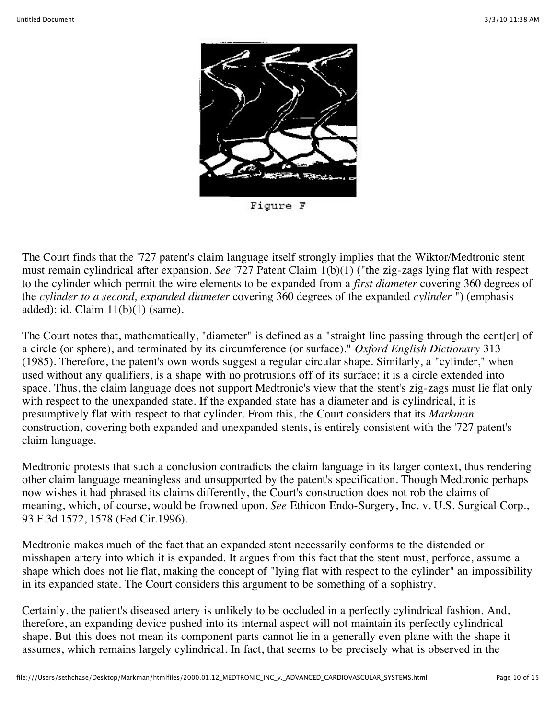

Figure F

The Court finds that the '727 patent's claim language itself strongly implies that the Wiktor/Medtronic stent must remain cylindrical after expansion. *See* '727 Patent Claim 1(b)(1) ("the zig-zags lying flat with respect to the cylinder which permit the wire elements to be expanded from a *first diameter* covering 360 degrees of the *cylinder to a second, expanded diameter* covering 360 degrees of the expanded *cylinder* ") (emphasis added); id. Claim 11(b)(1) (same).

The Court notes that, mathematically, "diameter" is defined as a "straight line passing through the cent[er] of a circle (or sphere), and terminated by its circumference (or surface)." *Oxford English Dictionary* 313 (1985). Therefore, the patent's own words suggest a regular circular shape. Similarly, a "cylinder," when used without any qualifiers, is a shape with no protrusions off of its surface; it is a circle extended into space. Thus, the claim language does not support Medtronic's view that the stent's zig-zags must lie flat only with respect to the unexpanded state. If the expanded state has a diameter and is cylindrical, it is presumptively flat with respect to that cylinder. From this, the Court considers that its *Markman* construction, covering both expanded and unexpanded stents, is entirely consistent with the '727 patent's claim language.

Medtronic protests that such a conclusion contradicts the claim language in its larger context, thus rendering other claim language meaningless and unsupported by the patent's specification. Though Medtronic perhaps now wishes it had phrased its claims differently, the Court's construction does not rob the claims of meaning, which, of course, would be frowned upon. *See* Ethicon Endo-Surgery, Inc. v. U.S. Surgical Corp., 93 F.3d 1572, 1578 (Fed.Cir.1996).

Medtronic makes much of the fact that an expanded stent necessarily conforms to the distended or misshapen artery into which it is expanded. It argues from this fact that the stent must, perforce, assume a shape which does not lie flat, making the concept of "lying flat with respect to the cylinder" an impossibility in its expanded state. The Court considers this argument to be something of a sophistry.

Certainly, the patient's diseased artery is unlikely to be occluded in a perfectly cylindrical fashion. And, therefore, an expanding device pushed into its internal aspect will not maintain its perfectly cylindrical shape. But this does not mean its component parts cannot lie in a generally even plane with the shape it assumes, which remains largely cylindrical. In fact, that seems to be precisely what is observed in the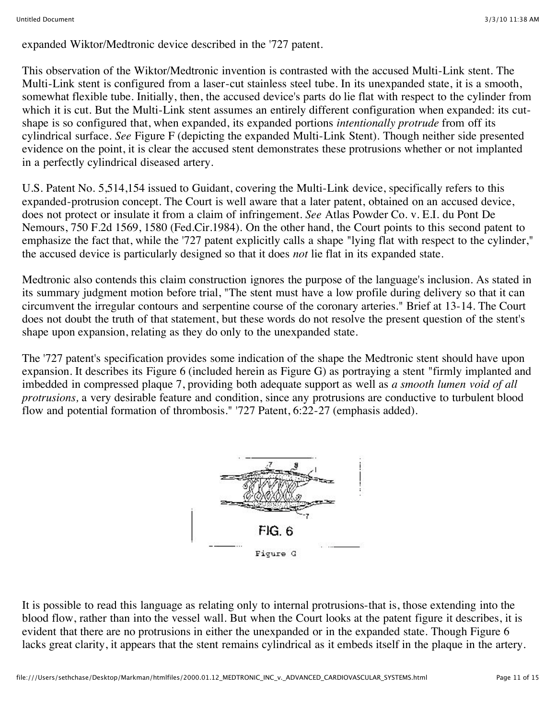expanded Wiktor/Medtronic device described in the '727 patent.

This observation of the Wiktor/Medtronic invention is contrasted with the accused Multi-Link stent. The Multi-Link stent is configured from a laser-cut stainless steel tube. In its unexpanded state, it is a smooth, somewhat flexible tube. Initially, then, the accused device's parts do lie flat with respect to the cylinder from which it is cut. But the Multi-Link stent assumes an entirely different configuration when expanded: its cutshape is so configured that, when expanded, its expanded portions *intentionally protrude* from off its cylindrical surface. *See* Figure F (depicting the expanded Multi-Link Stent). Though neither side presented evidence on the point, it is clear the accused stent demonstrates these protrusions whether or not implanted in a perfectly cylindrical diseased artery.

U.S. Patent No. 5,514,154 issued to Guidant, covering the Multi-Link device, specifically refers to this expanded-protrusion concept. The Court is well aware that a later patent, obtained on an accused device, does not protect or insulate it from a claim of infringement. *See* Atlas Powder Co. v. E.I. du Pont De Nemours, 750 F.2d 1569, 1580 (Fed.Cir.1984). On the other hand, the Court points to this second patent to emphasize the fact that, while the '727 patent explicitly calls a shape "lying flat with respect to the cylinder," the accused device is particularly designed so that it does *not* lie flat in its expanded state.

Medtronic also contends this claim construction ignores the purpose of the language's inclusion. As stated in its summary judgment motion before trial, "The stent must have a low profile during delivery so that it can circumvent the irregular contours and serpentine course of the coronary arteries." Brief at 13-14. The Court does not doubt the truth of that statement, but these words do not resolve the present question of the stent's shape upon expansion, relating as they do only to the unexpanded state.

The '727 patent's specification provides some indication of the shape the Medtronic stent should have upon expansion. It describes its Figure 6 (included herein as Figure G) as portraying a stent "firmly implanted and imbedded in compressed plaque 7, providing both adequate support as well as *a smooth lumen void of all protrusions,* a very desirable feature and condition, since any protrusions are conductive to turbulent blood flow and potential formation of thrombosis." '727 Patent, 6:22-27 (emphasis added).



It is possible to read this language as relating only to internal protrusions-that is, those extending into the blood flow, rather than into the vessel wall. But when the Court looks at the patent figure it describes, it is evident that there are no protrusions in either the unexpanded or in the expanded state. Though Figure 6 lacks great clarity, it appears that the stent remains cylindrical as it embeds itself in the plaque in the artery.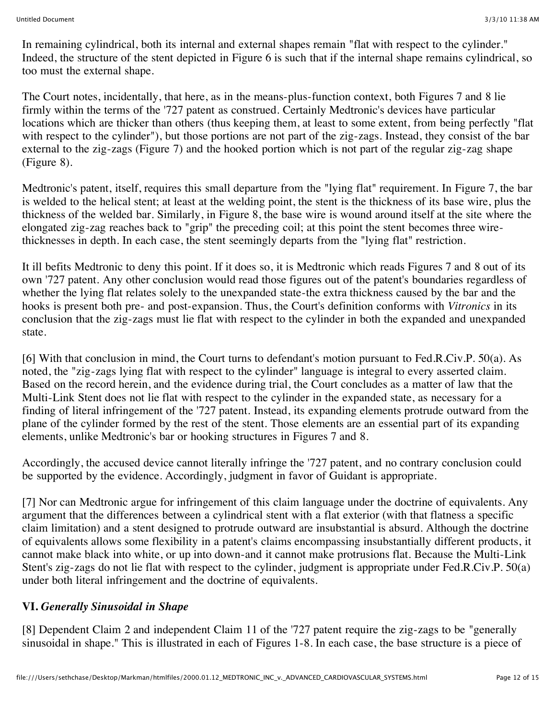In remaining cylindrical, both its internal and external shapes remain "flat with respect to the cylinder." Indeed, the structure of the stent depicted in Figure 6 is such that if the internal shape remains cylindrical, so too must the external shape.

The Court notes, incidentally, that here, as in the means-plus-function context, both Figures 7 and 8 lie firmly within the terms of the '727 patent as construed. Certainly Medtronic's devices have particular locations which are thicker than others (thus keeping them, at least to some extent, from being perfectly "flat with respect to the cylinder"), but those portions are not part of the zig-zags. Instead, they consist of the bar external to the zig-zags (Figure 7) and the hooked portion which is not part of the regular zig-zag shape (Figure 8).

Medtronic's patent, itself, requires this small departure from the "lying flat" requirement. In Figure 7, the bar is welded to the helical stent; at least at the welding point, the stent is the thickness of its base wire, plus the thickness of the welded bar. Similarly, in Figure 8, the base wire is wound around itself at the site where the elongated zig-zag reaches back to "grip" the preceding coil; at this point the stent becomes three wirethicknesses in depth. In each case, the stent seemingly departs from the "lying flat" restriction.

It ill befits Medtronic to deny this point. If it does so, it is Medtronic which reads Figures 7 and 8 out of its own '727 patent. Any other conclusion would read those figures out of the patent's boundaries regardless of whether the lying flat relates solely to the unexpanded state-the extra thickness caused by the bar and the hooks is present both pre- and post-expansion. Thus, the Court's definition conforms with *Vitronics* in its conclusion that the zig-zags must lie flat with respect to the cylinder in both the expanded and unexpanded state.

[6] With that conclusion in mind, the Court turns to defendant's motion pursuant to Fed.R.Civ.P. 50(a). As noted, the "zig-zags lying flat with respect to the cylinder" language is integral to every asserted claim. Based on the record herein, and the evidence during trial, the Court concludes as a matter of law that the Multi-Link Stent does not lie flat with respect to the cylinder in the expanded state, as necessary for a finding of literal infringement of the '727 patent. Instead, its expanding elements protrude outward from the plane of the cylinder formed by the rest of the stent. Those elements are an essential part of its expanding elements, unlike Medtronic's bar or hooking structures in Figures 7 and 8.

Accordingly, the accused device cannot literally infringe the '727 patent, and no contrary conclusion could be supported by the evidence. Accordingly, judgment in favor of Guidant is appropriate.

[7] Nor can Medtronic argue for infringement of this claim language under the doctrine of equivalents. Any argument that the differences between a cylindrical stent with a flat exterior (with that flatness a specific claim limitation) and a stent designed to protrude outward are insubstantial is absurd. Although the doctrine of equivalents allows some flexibility in a patent's claims encompassing insubstantially different products, it cannot make black into white, or up into down-and it cannot make protrusions flat. Because the Multi-Link Stent's zig-zags do not lie flat with respect to the cylinder, judgment is appropriate under Fed.R.Civ.P. 50(a) under both literal infringement and the doctrine of equivalents.

## **VI.** *Generally Sinusoidal in Shape*

[8] Dependent Claim 2 and independent Claim 11 of the '727 patent require the zig-zags to be "generally sinusoidal in shape." This is illustrated in each of Figures 1-8. In each case, the base structure is a piece of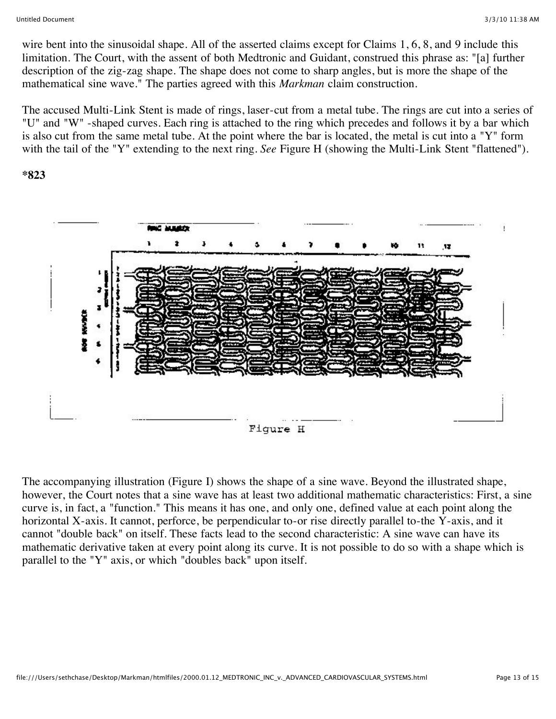wire bent into the sinusoidal shape. All of the asserted claims except for Claims 1, 6, 8, and 9 include this limitation. The Court, with the assent of both Medtronic and Guidant, construed this phrase as: "[a] further description of the zig-zag shape. The shape does not come to sharp angles, but is more the shape of the mathematical sine wave." The parties agreed with this *Markman* claim construction.

The accused Multi-Link Stent is made of rings, laser-cut from a metal tube. The rings are cut into a series of "U" and "W" -shaped curves. Each ring is attached to the ring which precedes and follows it by a bar which is also cut from the same metal tube. At the point where the bar is located, the metal is cut into a "Y" form with the tail of the "Y" extending to the next ring. *See* Figure H (showing the Multi-Link Stent "flattened").

#### **\*823**



The accompanying illustration (Figure I) shows the shape of a sine wave. Beyond the illustrated shape, however, the Court notes that a sine wave has at least two additional mathematic characteristics: First, a sine curve is, in fact, a "function." This means it has one, and only one, defined value at each point along the horizontal X-axis. It cannot, perforce, be perpendicular to-or rise directly parallel to-the Y-axis, and it cannot "double back" on itself. These facts lead to the second characteristic: A sine wave can have its mathematic derivative taken at every point along its curve. It is not possible to do so with a shape which is parallel to the "Y" axis, or which "doubles back" upon itself.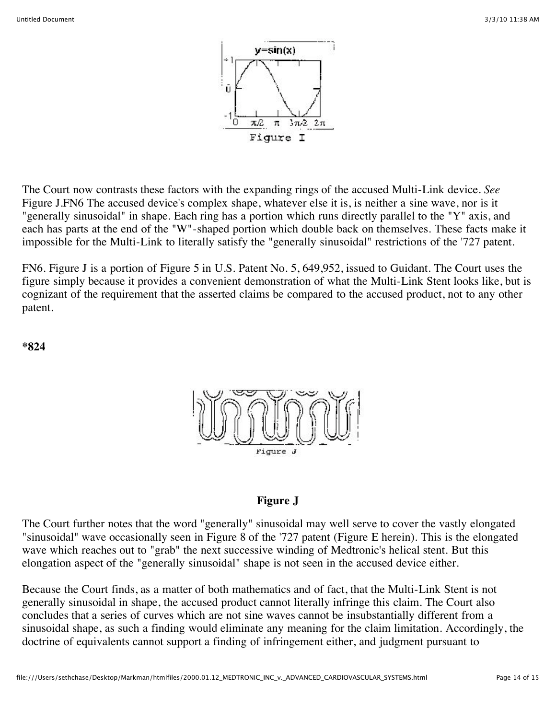

The Court now contrasts these factors with the expanding rings of the accused Multi-Link device. *See* Figure J.FN6 The accused device's complex shape, whatever else it is, is neither a sine wave, nor is it "generally sinusoidal" in shape. Each ring has a portion which runs directly parallel to the "Y" axis, and each has parts at the end of the "W"-shaped portion which double back on themselves. These facts make it impossible for the Multi-Link to literally satisfy the "generally sinusoidal" restrictions of the '727 patent.

FN6. Figure J is a portion of Figure 5 in U.S. Patent No. 5, 649,952, issued to Guidant. The Court uses the figure simply because it provides a convenient demonstration of what the Multi-Link Stent looks like, but is cognizant of the requirement that the asserted claims be compared to the accused product, not to any other patent.

**\*824**



#### **Figure J**

The Court further notes that the word "generally" sinusoidal may well serve to cover the vastly elongated "sinusoidal" wave occasionally seen in Figure 8 of the '727 patent (Figure E herein). This is the elongated wave which reaches out to "grab" the next successive winding of Medtronic's helical stent. But this elongation aspect of the "generally sinusoidal" shape is not seen in the accused device either.

Because the Court finds, as a matter of both mathematics and of fact, that the Multi-Link Stent is not generally sinusoidal in shape, the accused product cannot literally infringe this claim. The Court also concludes that a series of curves which are not sine waves cannot be insubstantially different from a sinusoidal shape, as such a finding would eliminate any meaning for the claim limitation. Accordingly, the doctrine of equivalents cannot support a finding of infringement either, and judgment pursuant to